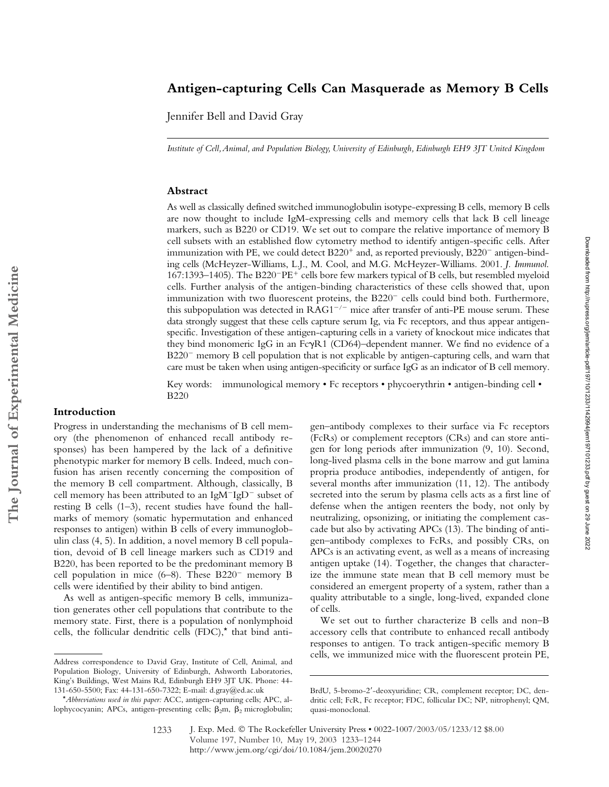# **Antigen-capturing Cells Can Masquerade as Memory B Cells**

Jennifer Bell and David Gray

*Institute of Cell, Animal, and Population Biology, University of Edinburgh, Edinburgh EH9 3JT United Kingdom*

# **Abstract**

As well as classically defined switched immunoglobulin isotype-expressing B cells, memory B cells are now thought to include IgM-expressing cells and memory cells that lack B cell lineage markers, such as B220 or CD19. We set out to compare the relative importance of memory B cell subsets with an established flow cytometry method to identify antigen-specific cells. After immunization with PE, we could detect  $B220^+$  and, as reported previously,  $B220^-$  antigen-binding cells (McHeyzer-Williams, L.J., M. Cool, and M.G. McHeyzer-Williams. 2001. *J. Immunol*. 167:1393-1405). The B220<sup>-</sup>PE<sup>+</sup> cells bore few markers typical of B cells, but resembled myeloid cells. Further analysis of the antigen-binding characteristics of these cells showed that, upon immunization with two fluorescent proteins, the  $B220^-$  cells could bind both. Furthermore, this subpopulation was detected in  $RAG1^{-/-}$  mice after transfer of anti-PE mouse serum. These data strongly suggest that these cells capture serum Ig, via Fc receptors, and thus appear antigenspecific. Investigation of these antigen-capturing cells in a variety of knockout mice indicates that they bind monomeric IgG in an FcyR1 (CD64)-dependent manner. We find no evidence of a B220<sup>-</sup> memory B cell population that is not explicable by antigen-capturing cells, and warn that care must be taken when using antigen-specificity or surface IgG as an indicator of B cell memory.

Key words: immunological memory • Fc receptors • phycoerythrin • antigen-binding cell • B220

## **Introduction**

Progress in understanding the mechanisms of B cell memory (the phenomenon of enhanced recall antibody responses) has been hampered by the lack of a definitive phenotypic marker for memory B cells. Indeed, much confusion has arisen recently concerning the composition of the memory B cell compartment. Although, classically, B cell memory has been attributed to an IgM<sup>-IgD<sup>-</sup> subset of</sup> resting B cells (1–3), recent studies have found the hallmarks of memory (somatic hypermutation and enhanced responses to antigen) within B cells of every immunoglobulin class (4, 5). In addition, a novel memory B cell population, devoid of B cell lineage markers such as CD19 and B220, has been reported to be the predominant memory B cell population in mice  $(6-8)$ . These B220<sup>-</sup> memory B cells were identified by their ability to bind antigen.

As well as antigen-specific memory B cells, immunization generates other cell populations that contribute to the memory state. First, there is a population of nonlymphoid cells, the follicular dendritic cells (FDC),\* that bind anti-

gen–antibody complexes to their surface via Fc receptors (FcRs) or complement receptors (CRs) and can store antigen for long periods after immunization (9, 10). Second, long-lived plasma cells in the bone marrow and gut lamina propria produce antibodies, independently of antigen, for several months after immunization (11, 12). The antibody secreted into the serum by plasma cells acts as a first line of defense when the antigen reenters the body, not only by neutralizing, opsonizing, or initiating the complement cascade but also by activating APCs (13). The binding of antigen–antibody complexes to FcRs, and possibly CRs, on APCs is an activating event, as well as a means of increasing antigen uptake (14). Together, the changes that characterize the immune state mean that B cell memory must be considered an emergent property of a system, rather than a quality attributable to a single, long-lived, expanded clone of cells.

We set out to further characterize B cells and non–B accessory cells that contribute to enhanced recall antibody responses to antigen. To track antigen-specific memory B cells, we immunized mice with the fluorescent protein PE, Address correspondence to David Gray, Institute of Cell, Animal, and

Downloaded from http://rupress.org/jem/article-pdf/197/10/1233/1142994/jem197101233.pdf by guest on 29 June 2022 Downloaded from http://rupress.org/jem/article-pdf/197/10/1233/1142994/jem197101233.pdf by guest on 29 June 2022

Population Biology, University of Edinburgh, Ashworth Laboratories, King's Buildings, West Mains Rd, Edinburgh EH9 3JT UK. Phone: 44- 131-650-5500; Fax: 44-131-650-7322; E-mail: d.gray@ed.ac.uk

<sup>\*</sup>*Abbreviations used in this paper:* ACC, antigen-capturing cells; APC, allophycocyanin; APCs, antigen-presenting cells;  $\beta_2$ m,  $\beta_2$  microglobulin;

BrdU, 5-bromo-2-deoxyuridine; CR, complement receptor; DC, dendritic cell; FcR, Fc receptor; FDC, follicular DC; NP, nitrophenyl; QM, quasi-monoclonal.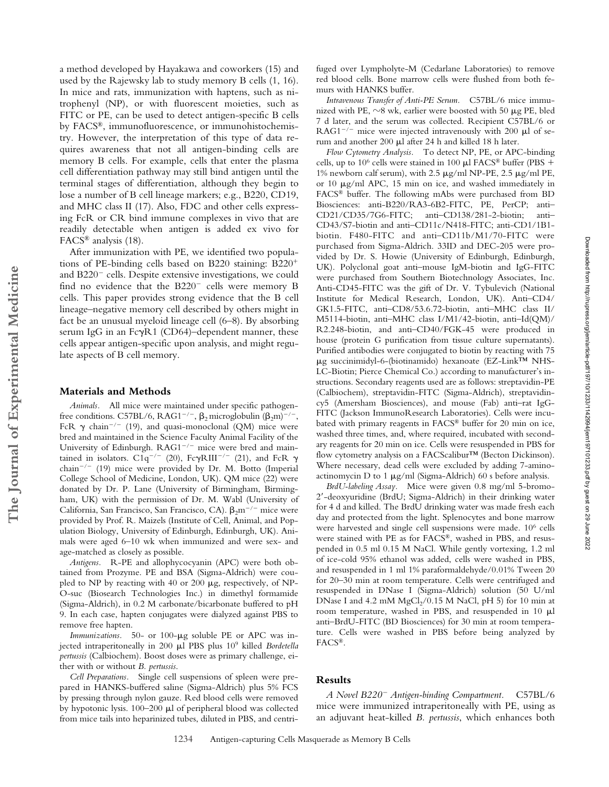a method developed by Hayakawa and coworkers (15) and used by the Rajewsky lab to study memory B cells (1, 16). In mice and rats, immunization with haptens, such as nitrophenyl (NP), or with fluorescent moieties, such as FITC or PE, can be used to detect antigen-specific B cells by FACS®, immunofluorescence, or immunohistochemistry. However, the interpretation of this type of data requires awareness that not all antigen-binding cells are memory B cells. For example, cells that enter the plasma cell differentiation pathway may still bind antigen until the terminal stages of differentiation, although they begin to lose a number of B cell lineage markers; e.g., B220, CD19, and MHC class II (17). Also, FDC and other cells expressing FcR or CR bind immune complexes in vivo that are readily detectable when antigen is added ex vivo for FACS® analysis (18).

After immunization with PE, we identified two populations of PE-binding cells based on B220 staining: B220 and  $B220^-$  cells. Despite extensive investigations, we could find no evidence that the  $B220^-$  cells were memory B cells. This paper provides strong evidence that the B cell lineage–negative memory cell described by others might in fact be an unusual myeloid lineage cell (6–8). By absorbing serum IgG in an Fc $\gamma$ R1 (CD64)–dependent manner, these cells appear antigen-specific upon analysis, and might regulate aspects of B cell memory.

#### **Materials and Methods**

**The Journal of Experimental Medicine**

The Journal of Experimental Medicine

*Animals.* All mice were maintained under specific pathogenfree conditions. C57BL/6, RAG1<sup>-/-</sup>,  $\beta_2$  microglobulin ( $\beta_2$ m)<sup>-/-</sup>, FcR  $\gamma$  chain<sup>-/-</sup> (19), and quasi-monoclonal (QM) mice were bred and maintained in the Science Faculty Animal Facility of the University of Edinburgh.  $RAG1^{-/-}$  mice were bred and maintained in isolators. C1q<sup>-/-</sup> (20), Fc $\gamma$ RIII<sup>-/-</sup> (21), and FcR  $\gamma$ chain<sup>-/-</sup> (19) mice were provided by Dr. M. Botto (Imperial College School of Medicine, London, UK). QM mice (22) were donated by Dr. P. Lane (University of Birmingham, Birmingham, UK) with the permission of Dr. M. Wabl (University of California, San Francisco, San Francisco, CA).  $\beta_2 m^{-/-}$  mice were provided by Prof. R. Maizels (Institute of Cell, Animal, and Population Biology, University of Edinburgh, Edinburgh, UK). Animals were aged 6–10 wk when immunized and were sex- and age-matched as closely as possible.

*Antigens.* R-PE and allophycocyanin (APC) were both obtained from Prozyme. PE and BSA (Sigma-Aldrich) were coupled to NP by reacting with 40 or 200  $\mu$ g, respectively, of NP-O-suc (Biosearch Technologies Inc.) in dimethyl formamide (Sigma-Aldrich), in 0.2 M carbonate/bicarbonate buffered to pH 9. In each case, hapten conjugates were dialyzed against PBS to remove free hapten.

Immunizations. 50- or 100-µg soluble PE or APC was injected intraperitoneally in 200 ul PBS plus 10<sup>9</sup> killed *Bordetella pertussis* (Calbiochem). Boost doses were as primary challenge, either with or without *B. pertussis*.

*Cell Preparations.* Single cell suspensions of spleen were prepared in HANKS-buffered saline (Sigma-Aldrich) plus 5% FCS by pressing through nylon gauze. Red blood cells were removed by hypotonic lysis.  $100-200$   $\mu$ l of peripheral blood was collected from mice tails into heparinized tubes, diluted in PBS, and centrifuged over Lympholyte-M (Cedarlane Laboratories) to remove red blood cells. Bone marrow cells were flushed from both femurs with HANKS buffer.

*Intravenous Transfer of Anti-PE Serum.* C57BL/6 mice immunized with PE,  $\sim$ 8 wk, earlier were boosted with 50  $\mu$ g PE, bled 7 d later, and the serum was collected. Recipient C57BL/6 or  $RAG1^{-/-}$  mice were injected intravenously with 200  $\mu$ l of serum and another 200  $\mu$ l after 24 h and killed 18 h later.

*Flow Cytometry Analysis.* To detect NP, PE, or APC-binding cells, up to  $10^6$  cells were stained in 100  $\mu$ l FACS® buffer (PBS + 1% newborn calf serum), with 2.5  $\mu$ g/ml NP-PE, 2.5  $\mu$ g/ml PE, or 10  $\mu$ g/ml APC, 15 min on ice, and washed immediately in FACS® buffer. The following mAbs were purchased from BD Biosciences: anti-B220/RA3-6B2-FITC, PE, PerCP; anti– CD21/CD35/7G6-FITC; anti–CD138/281-2-biotin; anti– CD43/S7-biotin and anti–CD11c/N418-FITC; anti-CD1/1B1 biotin. F480-FITC and anti–CD11b/M1/70-FITC were purchased from Sigma-Aldrich. 33ID and DEC-205 were provided by Dr. S. Howie (University of Edinburgh, Edinburgh, UK). Polyclonal goat anti–mouse IgM-biotin and IgG-FITC were purchased from Southern Biotechnology Associates, Inc. Anti-CD45-FITC was the gift of Dr. V. Tybulevich (National Institute for Medical Research, London, UK). Anti–CD4/ GK1.5-FITC, anti–CD8/53.6.72-biotin, anti–MHC class II/ M5114-biotin, anti–MHC class I/M1/42-biotin, anti–Id(QM)/ R2.248-biotin, and anti–CD40/FGK-45 were produced in house (protein G purification from tissue culture supernatants). Purified antibodies were conjugated to biotin by reacting with 75 µg succinimidyl-6-(biotinamido) hexanoate (EZ-Link™ NHS-LC-Biotin; Pierce Chemical Co.) according to manufacturer's instructions. Secondary reagents used are as follows: streptavidin-PE (Calbiochem), streptavidin-FITC (Sigma-Aldrich), streptavidincy5 (Amersham Biosciences), and mouse (Fab) anti–rat IgG-FITC (Jackson ImmunoResearch Laboratories). Cells were incubated with primary reagents in FACS® buffer for 20 min on ice, washed three times, and, where required, incubated with secondary reagents for 20 min on ice. Cells were resuspended in PBS for flow cytometry analysis on a FACScalibur™ (Becton Dickinson). Where necessary, dead cells were excluded by adding 7-aminoactinomycin D to 1  $\mu$ g/ml (Sigma-Aldrich) 60 s before analysis.

*BrdU-labeling Assay.* Mice were given 0.8 mg/ml 5-bromo-2-deoxyuridine (BrdU; Sigma-Aldrich) in their drinking water for 4 d and killed. The BrdU drinking water was made fresh each day and protected from the light. Splenocytes and bone marrow were harvested and single cell suspensions were made. 106 cells were stained with PE as for FACS®, washed in PBS, and resuspended in 0.5 ml 0.15 M NaCl. While gently vortexing, 1.2 ml of ice-cold 95% ethanol was added, cells were washed in PBS, and resuspended in 1 ml 1% paraformaldehyde/0.01% Tween 20 for 20–30 min at room temperature. Cells were centrifuged and resuspended in DNase I (Sigma-Aldrich) solution (50 U/ml DNase I and 4.2 mM  $MgCl<sub>2</sub>/0.15$  M NaCl, pH 5) for 10 min at room temperature, washed in PBS, and resuspended in  $10$   $\mu$ l anti–BrdU-FITC (BD Biosciences) for 30 min at room temperature. Cells were washed in PBS before being analyzed by FACS®.

## **Results**

*A Novel B220 Antigen-binding Compartment.* C57BL/6 mice were immunized intraperitoneally with PE, using as an adjuvant heat-killed *B. pertussis*, which enhances both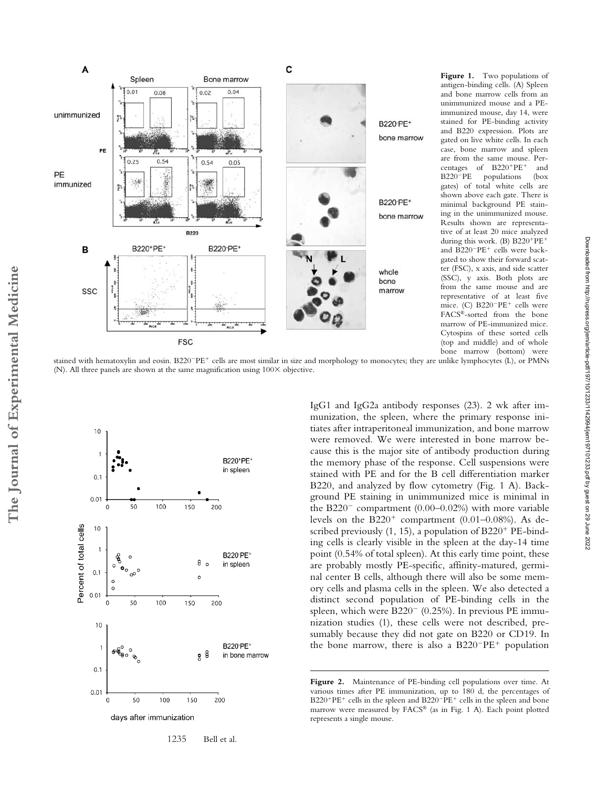

antigen-binding cells. (A) Spleen and bone marrow cells from an unimmunized mouse and a PEimmunized mouse, day 14, were stained for PE-binding activity and B220 expression. Plots are gated on live white cells. In each case, bone marrow and spleen are from the same mouse. Percentages of B220+PE+ and B220<sup>-</sup>PE populations (box gates) of total white cells are shown above each gate. There is minimal background PE staining in the unimmunized mouse. Results shown are representative of at least 20 mice analyzed during this work. (B) B220<sup>+</sup>PE<sup>+</sup> and B220<sup>-</sup>PE<sup>+</sup> cells were backgated to show their forward scatter (FSC), x axis, and side scatter (SSC), y axis. Both plots are from the same mouse and are representative of at least five mice. (C) B220<sup>-</sup>PE<sup>+</sup> cells were FACS®-sorted from the bone marrow of PE-immunized mice. Cytospins of these sorted cells (top and middle) and of whole bone marrow (bottom) were

stained with hematoxylin and eosin. B220<sup>-</sup>PE<sup>+</sup> cells are most similar in size and morphology to monocytes; they are unlike lymphocytes (L), or PMNs (N). All three panels are shown at the same magnification using  $100 \times$  objective.



1235 Bell et al.

IgG1 and IgG2a antibody responses (23). 2 wk after immunization, the spleen, where the primary response initiates after intraperitoneal immunization, and bone marrow were removed. We were interested in bone marrow because this is the major site of antibody production during the memory phase of the response. Cell suspensions were stained with PE and for the B cell differentiation marker B220, and analyzed by flow cytometry (Fig. 1 A). Background PE staining in unimmunized mice is minimal in the B220<sup>-</sup> compartment  $(0.00-0.02%)$  with more variable levels on the  $B220<sup>+</sup>$  compartment (0.01–0.08%). As described previously (1, 15), a population of B220<sup>+</sup> PE-binding cells is clearly visible in the spleen at the day-14 time point (0.54% of total spleen). At this early time point, these are probably mostly PE-specific, affinity-matured, germinal center B cells, although there will also be some memory cells and plasma cells in the spleen. We also detected a distinct second population of PE-binding cells in the spleen, which were  $B220^-$  (0.25%). In previous PE immunization studies (1), these cells were not described, presumably because they did not gate on B220 or CD19. In the bone marrow, there is also a  $B220^-PE^+$  population

**Figure 2.** Maintenance of PE-binding cell populations over time. At various times after PE immunization, up to 180 d, the percentages of B220<sup>+</sup>PE<sup>+</sup> cells in the spleen and B220<sup>-</sup>PE<sup>+</sup> cells in the spleen and bone marrow were measured by FACS® (as in Fig. 1 A). Each point plotted represents a single mouse.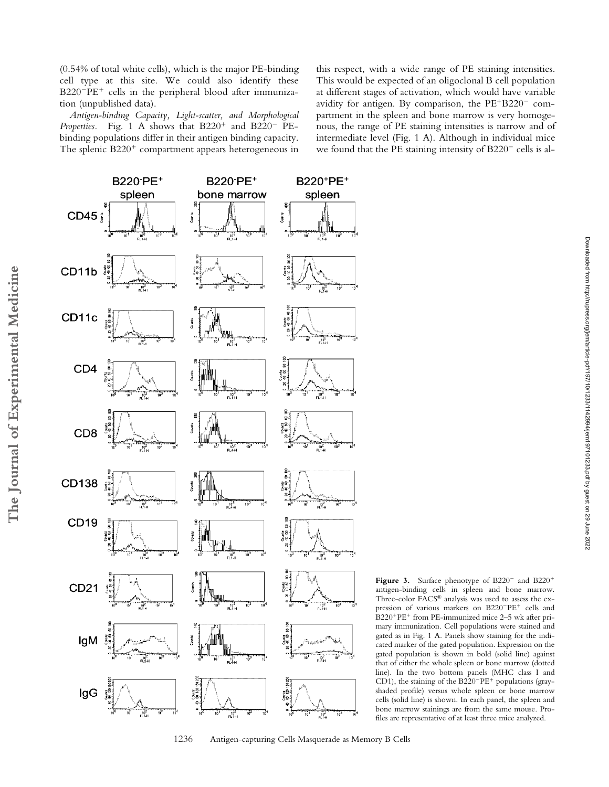(0.54% of total white cells), which is the major PE-binding cell type at this site. We could also identify these B220<sup>-</sup>PE<sup>+</sup> cells in the peripheral blood after immunization (unpublished data).

*Antigen-binding Capacity, Light-scatter, and Morphological* Properties. Fig. 1 A shows that  $B220<sup>+</sup>$  and  $B220<sup>-</sup>$  PEbinding populations differ in their antigen binding capacity. The splenic B220<sup>+</sup> compartment appears heterogeneous in

this respect, with a wide range of PE staining intensities. This would be expected of an oligoclonal B cell population at different stages of activation, which would have variable avidity for antigen. By comparison, the PE+B220<sup>-</sup> compartment in the spleen and bone marrow is very homogenous, the range of PE staining intensities is narrow and of intermediate level (Fig. 1 A). Although in individual mice we found that the PE staining intensity of  $B220^-$  cells is al-

> Figure 3. Surface phenotype of B220<sup>-</sup> and B220<sup>+</sup> antigen-binding cells in spleen and bone marrow. Three-color FACS® analysis was used to assess the expression of various markers on B220<sup>-</sup>PE<sup>+</sup> cells and B220<sup>+</sup>PE<sup>+</sup> from PE-immunized mice 2-5 wk after primary immunization. Cell populations were stained and gated as in Fig. 1 A. Panels show staining for the indicated marker of the gated population. Expression on the gated population is shown in bold (solid line) against that of either the whole spleen or bone marrow (dotted line). In the two bottom panels (MHC class I and CD1), the staining of the  $B220^-PE^+$  populations (grayshaded profile) versus whole spleen or bone marrow cells (solid line) is shown. In each panel, the spleen and bone marrow stainings are from the same mouse. Profiles are representative of at least three mice analyzed.



<sup>1236</sup> Antigen-capturing Cells Masquerade as Memory B Cells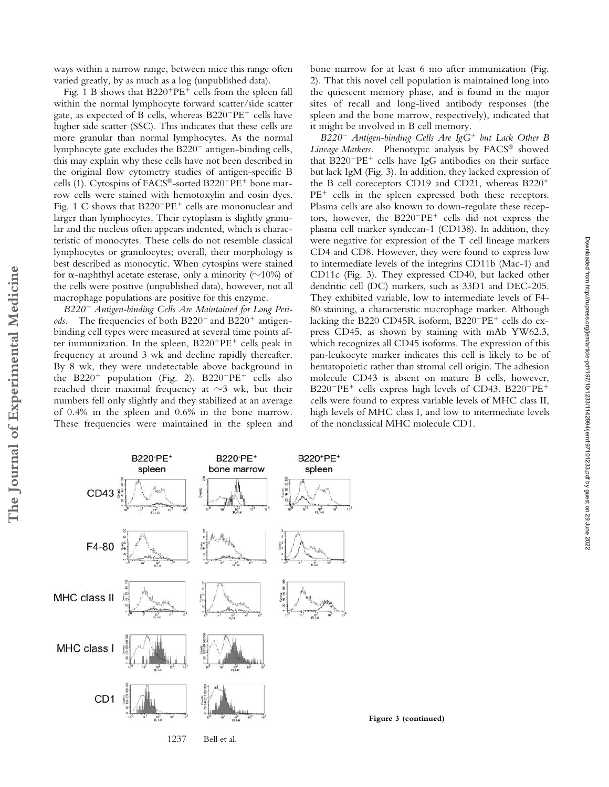ways within a narrow range, between mice this range often varied greatly, by as much as a log (unpublished data).

Fig. 1 B shows that B220<sup>+</sup>PE<sup>+</sup> cells from the spleen fall within the normal lymphocyte forward scatter/side scatter gate, as expected of B cells, whereas B220<sup>-</sup>PE<sup>+</sup> cells have higher side scatter (SSC). This indicates that these cells are more granular than normal lymphocytes. As the normal lymphocyte gate excludes the  $B220^-$  antigen-binding cells, this may explain why these cells have not been described in the original flow cytometry studies of antigen-specific B cells (1). Cytospins of FACS®-sorted B220<sup>-</sup>PE<sup>+</sup> bone marrow cells were stained with hemotoxylin and eosin dyes. Fig. 1 C shows that B220<sup>-</sup>PE<sup>+</sup> cells are mononuclear and larger than lymphocytes. Their cytoplasm is slightly granular and the nucleus often appears indented, which is characteristic of monocytes. These cells do not resemble classical lymphocytes or granulocytes; overall, their morphology is best described as monocytic. When cytospins were stained for  $\alpha$ -naphthyl acetate esterase, only a minority ( $\sim$ 10%) of the cells were positive (unpublished data), however, not all macrophage populations are positive for this enzyme.

*B220 Antigen-binding Cells Are Maintained for Long Peri*ods. The frequencies of both B220<sup>-</sup> and B220<sup>+</sup> antigenbinding cell types were measured at several time points after immunization. In the spleen, B220<sup>+</sup>PE<sup>+</sup> cells peak in frequency at around 3 wk and decline rapidly thereafter. By 8 wk, they were undetectable above background in the B220<sup>+</sup> population (Fig. 2). B220<sup>-</sup>PE<sup>+</sup> cells also reached their maximal frequency at  $\sim$ 3 wk, but their numbers fell only slightly and they stabilized at an average of 0.4% in the spleen and 0.6% in the bone marrow. These frequencies were maintained in the spleen and

**The Journal of Experimental Medicine**

The Journal of Experimental Medicine

bone marrow for at least 6 mo after immunization (Fig. 2). That this novel cell population is maintained long into the quiescent memory phase, and is found in the major sites of recall and long-lived antibody responses (the spleen and the bone marrow, respectively), indicated that it might be involved in B cell memory.

*B220 Antigen-binding Cells Are IgG*- *but Lack Other B Lineage Markers.* Phenotypic analysis by FACS® showed that B220<sup>-</sup>PE<sup>+</sup> cells have IgG antibodies on their surface but lack IgM (Fig. 3). In addition, they lacked expression of the B cell coreceptors CD19 and CD21, whereas B220<sup>+</sup> PE<sup>+</sup> cells in the spleen expressed both these receptors. Plasma cells are also known to down-regulate these receptors, however, the  $B220^-PE^+$  cells did not express the plasma cell marker syndecan-1 (CD138). In addition, they were negative for expression of the T cell lineage markers CD4 and CD8. However, they were found to express low to intermediate levels of the integrins CD11b (Mac-1) and CD11c (Fig. 3). They expressed CD40, but lacked other dendritic cell (DC) markers, such as 33D1 and DEC-205. They exhibited variable, low to intermediate levels of F4- 80 staining, a characteristic macrophage marker. Although lacking the B220 CD45R isoform, B220<sup>-</sup>PE<sup>+</sup> cells do express CD45, as shown by staining with mAb YW62.3, which recognizes all CD45 isoforms. The expression of this pan-leukocyte marker indicates this cell is likely to be of hematopoietic rather than stromal cell origin. The adhesion molecule CD43 is absent on mature B cells, however, B220<sup>-</sup>PE<sup>+</sup> cells express high levels of CD43. B220<sup>-</sup>PE<sup>+</sup> cells were found to express variable levels of MHC class II, high levels of MHC class I, and low to intermediate levels of the nonclassical MHC molecule CD1.

**B220-PE+** B220-PE+ B220+PE+ spleen bone marrow spleen CD43 Counts: F4-80 MHC class II MHC class I CD<sub>1</sub>

1237 Bell et al.

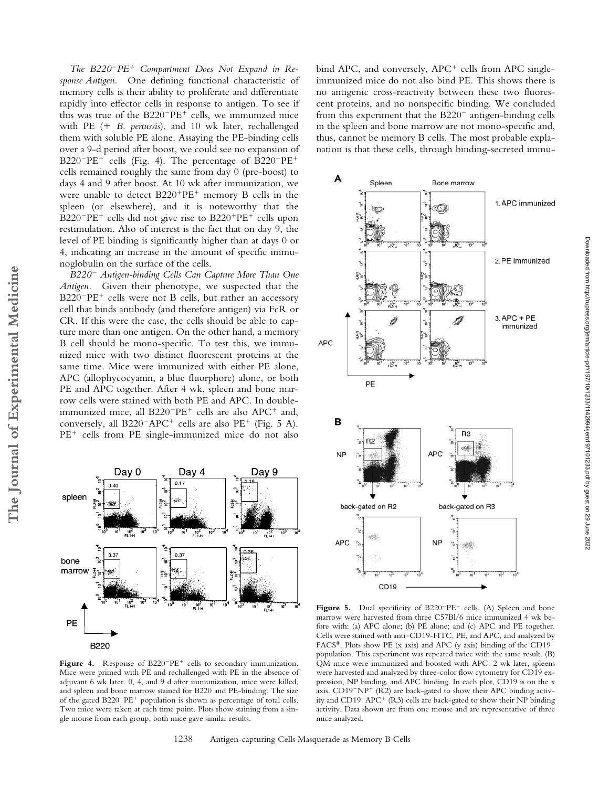*The B220PE*- *Compartment Does Not Expand in Response Antigen.* One defining functional characteristic of memory cells is their ability to proliferate and differentiate rapidly into effector cells in response to antigen. To see if this was true of the B220<sup>-</sup>PE<sup>+</sup> cells, we immunized mice with PE (+ B. pertussis), and 10 wk later, rechallenged them with soluble PE alone. Assaying the PE-binding cells over a 9-d period after boost, we could see no expansion of  $B220^-PE^+$  cells (Fig. 4). The percentage of  $B220^-PE^+$ cells remained roughly the same from day 0 (pre-boost) to days 4 and 9 after boost. At 10 wk after immunization, we were unable to detect  $B220^+PE^+$  memory B cells in the spleen (or elsewhere), and it is noteworthy that the B220<sup>-</sup>PE<sup>+</sup> cells did not give rise to B220<sup>+</sup>PE<sup>+</sup> cells upon restimulation. Also of interest is the fact that on day 9, the level of PE binding is significantly higher than at days 0 or 4, indicating an increase in the amount of specific immunoglobulin on the surface of the cells.

*B220 Antigen-binding Cells Can Capture More Than One Antigen.* Given their phenotype, we suspected that the B220<sup>-</sup>PE<sup>+</sup> cells were not B cells, but rather an accessory cell that binds antibody (and therefore antigen) via FcR or CR. If this were the case, the cells should be able to capture more than one antigen. On the other hand, a memory B cell should be mono-specific. To test this, we immunized mice with two distinct fluorescent proteins at the same time. Mice were immunized with either PE alone, APC (allophycocyanin, a blue fluorphore) alone, or both PE and APC together. After 4 wk, spleen and bone marrow cells were stained with both PE and APC. In doubleimmunized mice, all B220<sup>-</sup>PE<sup>+</sup> cells are also APC<sup>+</sup> and, conversely, all  $B220^-$ APC<sup>+</sup> cells are also PE<sup>+</sup> (Fig. 5 A). PE<sup>+</sup> cells from PE single-immunized mice do not also

Day 0

 $\rm H_{\rm H}^{10^{2}}$ 

spleen

bind APC, and conversely, APC<sup>+</sup> cells from APC singleimmunized mice do not also bind PE. This shows there is no antigenic cross-reactivity between these two fluorescent proteins, and no nonspecific binding. We concluded from this experiment that the  $B220^-$  antigen-binding cells in the spleen and bone marrow are not mono-specific and, thus, cannot be memory B cells. The most probable explanation is that these cells, through binding-secreted immu-





Day 4

 $0.17$ 

Dav 9

Föl

Figure 4. Response of B220<sup>-</sup>PE<sup>+</sup> cells to secondary immunization. Mice were primed with PE and rechallenged with PE in the absence of adjuvant 6 wk later. 0, 4, and 9 d after immunization, mice were killed, and spleen and bone marrow stained for B220 and PE-binding. The size of the gated B220<sup>-</sup>PE<sup>+</sup> population is shown as percentage of total cells. Two mice were taken at each time point. Plots show staining from a single mouse from each group, both mice gave similar results.

Figure 5. Dual specificity of B220<sup>-</sup>PE<sup>+</sup> cells. (A) Spleen and bone marrow were harvested from three C57Bl/6 mice immunized 4 wk before with: (a) APC alone; (b) PE alone; and (c) APC and PE together. Cells were stained with anti–CD19-FITC, PE, and APC, and analyzed by FACS®. Plots show PE (x axis) and APC (y axis) binding of the CD19 population. This experiment was repeated twice with the same result. (B) QM mice were immunized and boosted with APC. 2 wk later, spleens were harvested and analyzed by three-color flow cytometry for CD19 expression, NP binding, and APC binding. In each plot, CD19 is on the x axis.  $CD19^-NP^+$  (R2) are back-gated to show their APC binding activity and CD19<sup>-</sup>APC<sup>+</sup> (R3) cells are back-gated to show their NP binding activity. Data shown are from one mouse and are representative of three mice analyzed.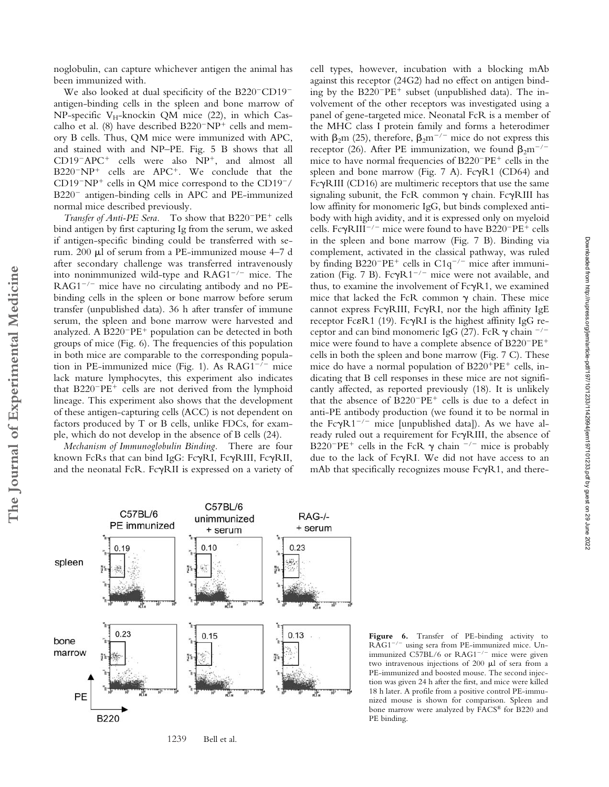noglobulin, can capture whichever antigen the animal has been immunized with.

We also looked at dual specificity of the  $B220^-$ CD19<sup>-</sup> antigen-binding cells in the spleen and bone marrow of NP-specific  $V_H$ -knockin QM mice (22), in which Cascalho et al. (8) have described  $B220^-NP^+$  cells and memory B cells. Thus, QM mice were immunized with APC, and stained with and NP–PE. Fig. 5 B shows that all  $CD19^-$ APC<sup>+</sup> cells were also  $NP^+$ , and almost all  $B220^-NP^+$  cells are  $APC^+$ . We conclude that the  $CD19^-NP^+$  cells in QM mice correspond to the  $CD19^-/$ B220<sup>-</sup> antigen-binding cells in APC and PE-immunized normal mice described previously.

Transfer of Anti-PE Sera. To show that B220<sup>-</sup>PE<sup>+</sup> cells bind antigen by first capturing Ig from the serum, we asked if antigen-specific binding could be transferred with serum. 200 µl of serum from a PE-immunized mouse 4–7 d after secondary challenge was transferred intravenously into nonimmunized wild-type and  $RAG1^{-/-}$  mice. The  $RAG1^{-/-}$  mice have no circulating antibody and no PEbinding cells in the spleen or bone marrow before serum transfer (unpublished data). 36 h after transfer of immune serum, the spleen and bone marrow were harvested and analyzed. A  $B220^-PE^+$  population can be detected in both groups of mice (Fig. 6). The frequencies of this population in both mice are comparable to the corresponding population in PE-immunized mice (Fig. 1). As  $RAG1^{-/-}$  mice lack mature lymphocytes, this experiment also indicates that B220<sup>-</sup>PE<sup>+</sup> cells are not derived from the lymphoid lineage. This experiment also shows that the development of these antigen-capturing cells (ACC) is not dependent on factors produced by T or B cells, unlike FDCs, for example, which do not develop in the absence of B cells (24).

*Mechanism of Immunoglobulin Binding.* There are four known FcRs that can bind IgG: FcyRI, FcyRIII, FcyRII, and the neonatal FcR. FcyRII is expressed on a variety of

**The Journal of Experimental Medicine**

The Journal of Experimental Medicine

cell types, however, incubation with a blocking mAb against this receptor (24G2) had no effect on antigen binding by the B220<sup>-</sup>PE<sup>+</sup> subset (unpublished data). The involvement of the other receptors was investigated using a panel of gene-targeted mice. Neonatal FcR is a member of the MHC class I protein family and forms a heterodimer with  $\beta_2$ m (25), therefore,  $\beta_2$ m<sup>-/-</sup> mice do not express this receptor (26). After PE immunization, we found  $\beta_2$ m<sup>-/-</sup> mice to have normal frequencies of  $B220^-PE^+$  cells in the spleen and bone marrow (Fig.  $7$  A). Fc $\gamma$ R1 (CD64) and Fc $\gamma$ RIII (CD16) are multimeric receptors that use the same signaling subunit, the FcR common  $\gamma$  chain. Fc $\gamma$ RIII has low affinity for monomeric IgG, but binds complexed antibody with high avidity, and it is expressed only on myeloid cells. Fc $\gamma$ RIII<sup>-/-</sup> mice were found to have B220<sup>-</sup>PE<sup>+</sup> cells in the spleen and bone marrow (Fig. 7 B). Binding via complement, activated in the classical pathway, was ruled by finding  $B220^-PE^+$  cells in  $C1q^{-/-}$  mice after immunization (Fig. 7 B). Fc $\gamma R1^{-/-}$  mice were not available, and thus, to examine the involvement of  $Fc\gamma R1$ , we examined mice that lacked the FcR common  $\gamma$  chain. These mice cannot express Fc $\gamma$ RIII, Fc $\gamma$ RI, nor the high affinity IgE receptor Fc&R1 (19). Fc $\gamma$ RI is the highest affinity IgG receptor and can bind monomeric IgG (27). FcR  $\gamma$  chain  $^{-/-}$ mice were found to have a complete absence of  $B220^-PE^+$ cells in both the spleen and bone marrow (Fig. 7 C). These mice do have a normal population of B220<sup>+</sup>PE<sup>+</sup> cells, indicating that B cell responses in these mice are not significantly affected, as reported previously (18). It is unlikely that the absence of  $B220^-PE^+$  cells is due to a defect in anti-PE antibody production (we found it to be normal in the Fc $\gamma R1^{-/-}$  mice [unpublished data]). As we have already ruled out a requirement for FcyRIII, the absence of B220<sup>-</sup>PE<sup>+</sup> cells in the FcR  $\gamma$  chain <sup>-/-</sup> mice is probably due to the lack of FcyRI. We did not have access to an mAb that specifically recognizes mouse  $Fc\gamma R1$ , and there-



**Figure 6.** Transfer of PE-binding activity to RAG1<sup>-/-</sup> using sera from PE-immunized mice. Unimmunized C57BL/6 or  $RAG1^{-/-}$  mice were given two intravenous injections of 200  $\mu$ l of sera from a PE-immunized and boosted mouse. The second injection was given 24 h after the first, and mice were killed 18 h later. A profile from a positive control PE-immunized mouse is shown for comparison. Spleen and bone marrow were analyzed by FACS® for B220 and PE binding.

1239 Bell et al.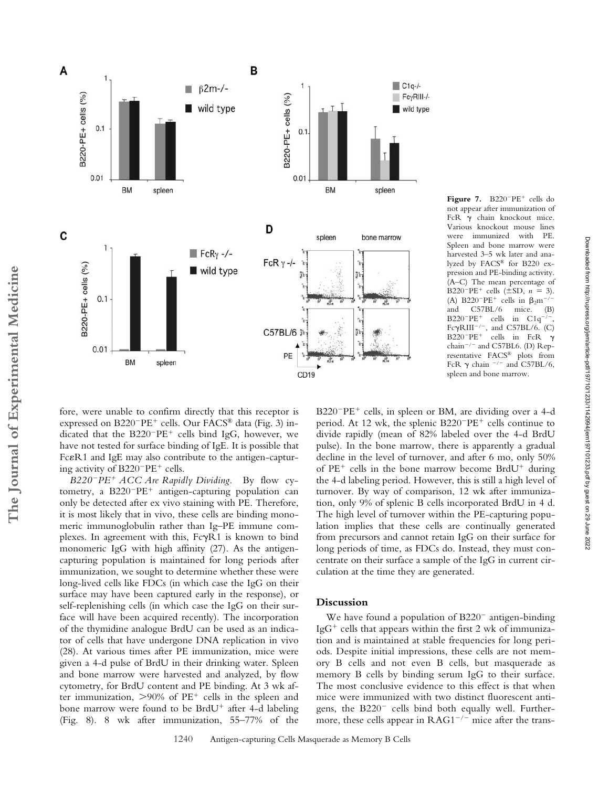

Figure 7. B220<sup>-</sup>PE<sup>+</sup> cells do not appear after immunization of FcR  $\gamma$  chain knockout mice. Various knockout mouse lines were immunized with PE. Spleen and bone marrow were harvested 3–5 wk later and analyzed by FACS® for B220 expression and PE-binding activity. (A–C) The mean percentage of  $B220^-PE^+$  cells ( $\pm$ SD,  $n = 3$ ). (A) B220<sup>-</sup>PE<sup>+</sup> cells in  $\beta_2$ m<sup>-/-</sup> and C57BL/6 mice. (B)  $B220^-PE^+$  cells in  $C1q^{-/-}$ , Fc $\gamma$ RIII<sup>-/-</sup>, and C57BL/6. (C)  $B220^-PE^+$ cells in FcR  $\gamma$ chain<sup>-/-</sup> and C57BL6. (D) Representative FACS® plots from FcR  $\gamma$  chain  $^{-/-}$  and C57BL/6, spleen and bone marrow.

fore, were unable to confirm directly that this receptor is expressed on B220<sup>-</sup>PE<sup>+</sup> cells. Our FACS® data (Fig. 3) indicated that the B220<sup>-</sup>PE<sup>+</sup> cells bind IgG, however, we have not tested for surface binding of IgE. It is possible that Fc R1 and IgE may also contribute to the antigen-capturing activity of B220<sup>-</sup>PE<sup>+</sup> cells.

*B220PE*- *ACC Are Rapidly Dividing.* By flow cytometry, a B220<sup>-</sup>PE<sup>+</sup> antigen-capturing population can only be detected after ex vivo staining with PE. Therefore, it is most likely that in vivo, these cells are binding monomeric immunoglobulin rather than Ig–PE immune complexes. In agreement with this,  $Fc\gamma R1$  is known to bind monomeric IgG with high affinity (27). As the antigencapturing population is maintained for long periods after immunization, we sought to determine whether these were long-lived cells like FDCs (in which case the IgG on their surface may have been captured early in the response), or self-replenishing cells (in which case the IgG on their surface will have been acquired recently). The incorporation of the thymidine analogue BrdU can be used as an indicator of cells that have undergone DNA replication in vivo (28). At various times after PE immunization, mice were given a 4-d pulse of BrdU in their drinking water. Spleen and bone marrow were harvested and analyzed, by flow cytometry, for BrdU content and PE binding. At 3 wk after immunization,  $>90\%$  of PE<sup>+</sup> cells in the spleen and bone marrow were found to be BrdU<sup>+</sup> after 4-d labeling (Fig. 8). 8 wk after immunization, 55–77% of the

B220<sup>-</sup>PE<sup>+</sup> cells, in spleen or BM, are dividing over a 4-d period. At 12 wk, the splenic B220<sup>-</sup>PE<sup>+</sup> cells continue to divide rapidly (mean of 82% labeled over the 4-d BrdU pulse). In the bone marrow, there is apparently a gradual decline in the level of turnover, and after 6 mo, only 50% of PE<sup>+</sup> cells in the bone marrow become BrdU<sup>+</sup> during the 4-d labeling period. However, this is still a high level of turnover. By way of comparison, 12 wk after immunization, only 9% of splenic B cells incorporated BrdU in 4 d. The high level of turnover within the PE-capturing population implies that these cells are continually generated from precursors and cannot retain IgG on their surface for long periods of time, as FDCs do. Instead, they must concentrate on their surface a sample of the IgG in current circulation at the time they are generated.

# **Discussion**

We have found a population of  $B220^-$  antigen-binding IgG<sup>+</sup> cells that appears within the first 2 wk of immunization and is maintained at stable frequencies for long periods. Despite initial impressions, these cells are not memory B cells and not even B cells, but masquerade as memory B cells by binding serum IgG to their surface. The most conclusive evidence to this effect is that when mice were immunized with two distinct fluorescent antigens, the  $B220^-$  cells bind both equally well. Furthermore, these cells appear in  $RAG1^{-/-}$  mice after the trans-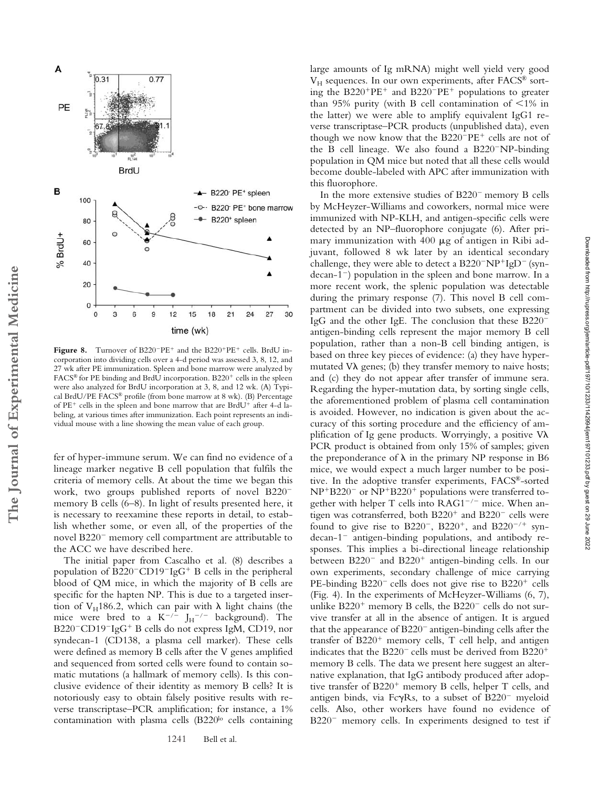

Figure 8. Turnover of B220<sup>-</sup>PE<sup>+</sup> and the B220<sup>+</sup>PE<sup>+</sup> cells. BrdU incorporation into dividing cells over a 4-d period was assessed 3, 8, 12, and 27 wk after PE immunization. Spleen and bone marrow were analyzed by FACS® for PE binding and BrdU incorporation. B220<sup>+</sup> cells in the spleen were also analyzed for BrdU incorporation at 3, 8, and 12 wk. (A) Typical BrdU/PE FACS® profile (from bone marrow at 8 wk). (B) Percentage of PE<sup>+</sup> cells in the spleen and bone marrow that are BrdU<sup>+</sup> after 4-d labeling, at various times after immunization. Each point represents an individual mouse with a line showing the mean value of each group.

fer of hyper-immune serum. We can find no evidence of a lineage marker negative B cell population that fulfils the criteria of memory cells. At about the time we began this work, two groups published reports of novel B220 memory B cells (6–8). In light of results presented here, it is necessary to reexamine these reports in detail, to establish whether some, or even all, of the properties of the novel B220<sup>-</sup> memory cell compartment are attributable to the ACC we have described here.

The initial paper from Cascalho et al. (8) describes a population of  $B220$ <sup>-</sup>CD19<sup>-</sup>IgG<sup>+</sup> B cells in the peripheral blood of QM mice, in which the majority of B cells are specific for the hapten NP. This is due to a targeted insertion of VH186.2, which can pair with  $\lambda$  light chains (the mice were bred to a  $K^{-/-}$   $J_H^{-/-}$  background). The B220<sup>-</sup>CD19<sup>-</sup>IgG<sup>+</sup> B cells do not express IgM, CD19, nor syndecan-1 (CD138, a plasma cell marker). These cells were defined as memory B cells after the V genes amplified and sequenced from sorted cells were found to contain somatic mutations (a hallmark of memory cells). Is this conclusive evidence of their identity as memory B cells? It is notoriously easy to obtain falsely positive results with reverse transcriptase–PCR amplification; for instance, a 1% contamination with plasma cells  $(B220<sup>lo</sup>$  cells containing large amounts of Ig mRNA) might well yield very good  $V_H$  sequences. In our own experiments, after FACS<sup>®</sup> sorting the B220<sup>+</sup>PE<sup>+</sup> and B220<sup>-</sup>PE<sup>+</sup> populations to greater than 95% purity (with B cell contamination of  $\leq 1\%$  in the latter) we were able to amplify equivalent IgG1 reverse transcriptase–PCR products (unpublished data), even though we now know that the B220<sup>-</sup>PE<sup>+</sup> cells are not of the B cell lineage. We also found a  $B220^-$ NP-binding population in QM mice but noted that all these cells would become double-labeled with APC after immunization with this fluorophore.

In the more extensive studies of  $B220^-$  memory B cells by McHeyzer-Williams and coworkers, normal mice were immunized with NP-KLH, and antigen-specific cells were detected by an NP–fluorophore conjugate (6). After primary immunization with  $400 \mu$ g of antigen in Ribi adjuvant, followed 8 wk later by an identical secondary challenge, they were able to detect a  $B220^-N P^+ I g D^-$  (syn $decan-1$ ) population in the spleen and bone marrow. In a more recent work, the splenic population was detectable during the primary response (7). This novel B cell compartment can be divided into two subsets, one expressing IgG and the other IgE. The conclusion that these B220 antigen-binding cells represent the major memory B cell population, rather than a non-B cell binding antigen, is based on three key pieces of evidence: (a) they have hypermutated  $V\lambda$  genes; (b) they transfer memory to naive hosts; and (c) they do not appear after transfer of immune sera. Regarding the hyper-mutation data, by sorting single cells, the aforementioned problem of plasma cell contamination is avoided. However, no indication is given about the accuracy of this sorting procedure and the efficiency of amplification of Ig gene products. Worryingly, a positive  $V\lambda$ PCR product is obtained from only 15% of samples; given the preponderance of  $\lambda$  in the primary NP response in B6 mice, we would expect a much larger number to be positive. In the adoptive transfer experiments, FACS®-sorted NP+B220<sup>-</sup> or NP+B220<sup>+</sup> populations were transferred together with helper T cells into  $RAG1^{-/-}$  mice. When antigen was cotransferred, both B220<sup>+</sup> and B220<sup>-</sup> cells were found to give rise to  $B220^-$ ,  $B220^+$ , and  $B220^{-/+}$  syndecan-1<sup>-</sup> antigen-binding populations, and antibody responses. This implies a bi-directional lineage relationship between B220<sup>-</sup> and B220<sup>+</sup> antigen-binding cells. In our own experiments, secondary challenge of mice carrying PE-binding B220<sup>-</sup> cells does not give rise to B220<sup>+</sup> cells (Fig. 4). In the experiments of McHeyzer-Williams (6, 7), unlike  $B220<sup>+</sup>$  memory B cells, the  $B220<sup>-</sup>$  cells do not survive transfer at all in the absence of antigen. It is argued that the appearance of  $B220^-$  antigen-binding cells after the transfer of B220<sup>+</sup> memory cells, T cell help, and antigen indicates that the B220<sup>-</sup> cells must be derived from B220<sup>+</sup> memory B cells. The data we present here suggest an alternative explanation, that IgG antibody produced after adoptive transfer of B220<sup>+</sup> memory B cells, helper T cells, and antigen binds, via Fc $\gamma$ Rs, to a subset of B220<sup>-</sup> myeloid cells. Also, other workers have found no evidence of  $B220^-$  memory cells. In experiments designed to test if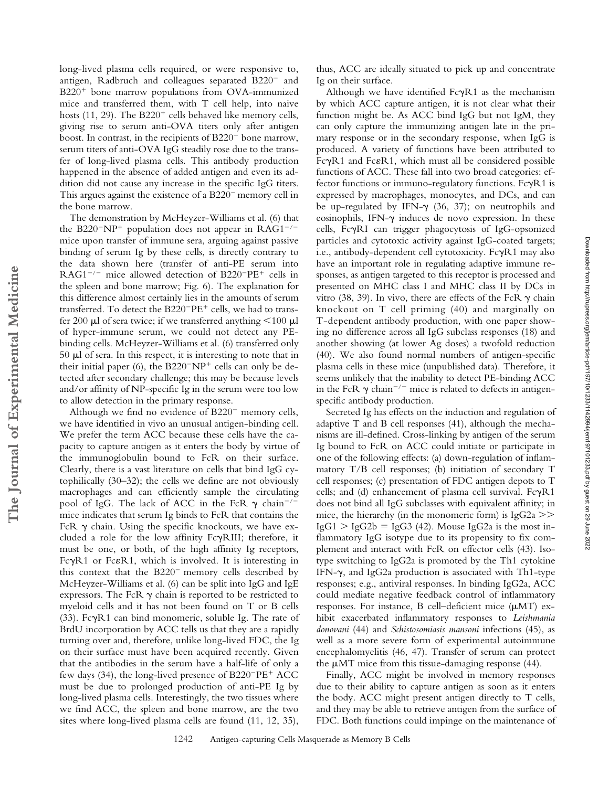long-lived plasma cells required, or were responsive to, antigen, Radbruch and colleagues separated B220<sup>-</sup> and B220<sup>+</sup> bone marrow populations from OVA-immunized mice and transferred them, with T cell help, into naive hosts (11, 29). The B220<sup>+</sup> cells behaved like memory cells, giving rise to serum anti-OVA titers only after antigen boost. In contrast, in the recipients of  $B220^-$  bone marrow, serum titers of anti-OVA IgG steadily rose due to the transfer of long-lived plasma cells. This antibody production happened in the absence of added antigen and even its addition did not cause any increase in the specific IgG titers. This argues against the existence of a  $B220^-$  memory cell in the bone marrow.

The demonstration by McHeyzer-Williams et al. (6) that the B220<sup>-</sup>NP<sup>+</sup> population does not appear in  $RAG1^{-/-}$ mice upon transfer of immune sera, arguing against passive binding of serum Ig by these cells, is directly contrary to the data shown here (transfer of anti-PE serum into  $RAG1^{-/-}$  mice allowed detection of B220<sup>-</sup>PE<sup>+</sup> cells in the spleen and bone marrow; Fig. 6). The explanation for this difference almost certainly lies in the amounts of serum transferred. To detect the B220<sup>-</sup>PE<sup>+</sup> cells, we had to transfer 200  $\mu$ l of sera twice; if we transferred anything <100  $\mu$ l of hyper-immune serum, we could not detect any PEbinding cells. McHeyzer-Williams et al. (6) transferred only  $50 \mu l$  of sera. In this respect, it is interesting to note that in their initial paper (6), the  $B220^-NP^+$  cells can only be detected after secondary challenge; this may be because levels and/or affinity of NP-specific Ig in the serum were too low to allow detection in the primary response.

Although we find no evidence of  $B220^-$  memory cells, we have identified in vivo an unusual antigen-binding cell. We prefer the term ACC because these cells have the capacity to capture antigen as it enters the body by virtue of the immunoglobulin bound to FcR on their surface. Clearly, there is a vast literature on cells that bind IgG cytophilically (30–32); the cells we define are not obviously macrophages and can efficiently sample the circulating pool of IgG. The lack of ACC in the FcR  $\gamma$  chain<sup>-/-</sup> mice indicates that serum Ig binds to FcR that contains the FcR  $\gamma$  chain. Using the specific knockouts, we have excluded a role for the low affinity  $Fc\gamma RIII$ ; therefore, it must be one, or both, of the high affinity Ig receptors, FcyR1 or Fc&R1, which is involved. It is interesting in this context that the  $B220^-$  memory cells described by McHeyzer-Williams et al. (6) can be split into IgG and IgE expressors. The FcR  $\gamma$  chain is reported to be restricted to myeloid cells and it has not been found on T or B cells (33). Fc $\gamma$ R1 can bind monomeric, soluble Ig. The rate of BrdU incorporation by ACC tells us that they are a rapidly turning over and, therefore, unlike long-lived FDC, the Ig on their surface must have been acquired recently. Given that the antibodies in the serum have a half-life of only a few days (34), the long-lived presence of  $B220^-PE^+$  ACC must be due to prolonged production of anti-PE Ig by long-lived plasma cells. Interestingly, the two tissues where we find ACC, the spleen and bone marrow, are the two sites where long-lived plasma cells are found (11, 12, 35),

thus, ACC are ideally situated to pick up and concentrate Ig on their surface.

Although we have identified  $Fc\gamma R1$  as the mechanism by which ACC capture antigen, it is not clear what their function might be. As ACC bind IgG but not IgM, they can only capture the immunizing antigen late in the primary response or in the secondary response, when IgG is produced. A variety of functions have been attributed to FcyR1 and Fc&R1, which must all be considered possible functions of ACC. These fall into two broad categories: effector functions or immuno-regulatory functions.  $Fc\gamma R1$  is expressed by macrophages, monocytes, and DCs, and can be up-regulated by IFN- $\gamma$  (36, 37); on neutrophils and eosinophils, IFN- $\gamma$  induces de novo expression. In these cells, FcRI can trigger phagocytosis of IgG-opsonized particles and cytotoxic activity against IgG-coated targets; i.e., antibody-dependent cell cytotoxicity. FcyR1 may also have an important role in regulating adaptive immune responses, as antigen targeted to this receptor is processed and presented on MHC class I and MHC class II by DCs in vitro (38, 39). In vivo, there are effects of the FcR  $\gamma$  chain knockout on T cell priming (40) and marginally on T-dependent antibody production, with one paper showing no difference across all IgG subclass responses (18) and another showing (at lower Ag doses) a twofold reduction (40). We also found normal numbers of antigen-specific plasma cells in these mice (unpublished data). Therefore, it seems unlikely that the inability to detect PE-binding ACC in the FcR  $\gamma$  chain<sup>-/-</sup> mice is related to defects in antigenspecific antibody production.

Secreted Ig has effects on the induction and regulation of adaptive T and B cell responses (41), although the mechanisms are ill-defined. Cross-linking by antigen of the serum Ig bound to FcR on ACC could initiate or participate in one of the following effects: (a) down-regulation of inflammatory T/B cell responses; (b) initiation of secondary T cell responses; (c) presentation of FDC antigen depots to T cells; and (d) enhancement of plasma cell survival. FcyR1 does not bind all IgG subclasses with equivalent affinity; in mice, the hierarchy (in the monomeric form) is  $IgG2a$  >>  $IgG1 > IgG2b = IgG3 (42)$ . Mouse IgG2a is the most inflammatory IgG isotype due to its propensity to fix complement and interact with FcR on effector cells (43). Isotype switching to IgG2a is promoted by the Th1 cytokine IFN- $\gamma$ , and IgG2a production is associated with Th1-type responses; e.g., antiviral responses. In binding IgG2a, ACC could mediate negative feedback control of inflammatory responses. For instance, B cell-deficient mice ( $\mu$ MT) exhibit exacerbated inflammatory responses to *Leishmania donovani* (44) and *Schistosomiasis mansoni* infections (45), as well as a more severe form of experimental autoimmune encephalomyelitis (46, 47). Transfer of serum can protect the MT mice from this tissue-damaging response (44).

Finally, ACC might be involved in memory responses due to their ability to capture antigen as soon as it enters the body. ACC might present antigen directly to T cells, and they may be able to retrieve antigen from the surface of FDC. Both functions could impinge on the maintenance of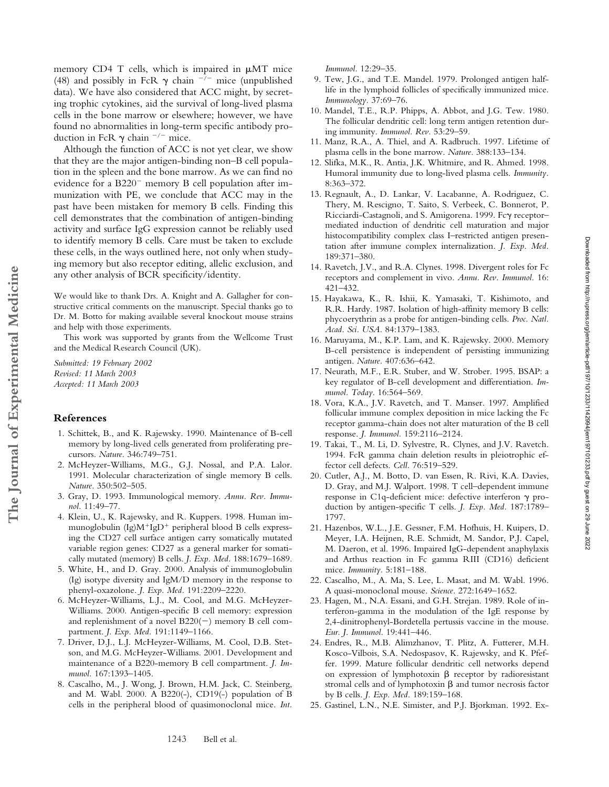memory CD4 T cells, which is impaired in  $\mu$ MT mice (48) and possibly in FcR  $\gamma$  chain  $^{-/-}$  mice (unpublished data). We have also considered that ACC might, by secreting trophic cytokines, aid the survival of long-lived plasma cells in the bone marrow or elsewhere; however, we have found no abnormalities in long-term specific antibody production in FcR  $\gamma$  chain  $^{-/-}$  mice.

Although the function of ACC is not yet clear, we show that they are the major antigen-binding non–B cell population in the spleen and the bone marrow. As we can find no evidence for a  $B220^-$  memory B cell population after immunization with PE, we conclude that ACC may in the past have been mistaken for memory B cells. Finding this cell demonstrates that the combination of antigen-binding activity and surface IgG expression cannot be reliably used to identify memory B cells. Care must be taken to exclude these cells, in the ways outlined here, not only when studying memory but also receptor editing, allelic exclusion, and any other analysis of BCR specificity/identity.

We would like to thank Drs. A. Knight and A. Gallagher for constructive critical comments on the manuscript. Special thanks go to Dr. M. Botto for making available several knockout mouse strains and help with those experiments.

This work was supported by grants from the Wellcome Trust and the Medical Research Council (UK).

*Submitted: 19 February 2002 Revised: 11 March 2003 Accepted: 11 March 2003*

# **References**

**The Journal of Experimental Medicine**

The Journal of Experimental Medicine

- 1. Schittek, B., and K. Rajewsky. 1990. Maintenance of B-cell memory by long-lived cells generated from proliferating precursors. *Nature.* 346:749–751.
- 2. McHeyzer-Williams, M.G., G.J. Nossal, and P.A. Lalor. 1991. Molecular characterization of single memory B cells. *Nature.* 350:502–505.
- 3. Gray, D. 1993. Immunological memory. *Annu. Rev. Immunol.* 11:49–77.
- 4. Klein, U., K. Rajewsky, and R. Kuppers. 1998. Human immunoglobulin (Ig)M<sup>+</sup>IgD<sup>+</sup> peripheral blood B cells expressing the CD27 cell surface antigen carry somatically mutated variable region genes: CD27 as a general marker for somatically mutated (memory) B cells. *J. Exp. Med.* 188:1679–1689.
- 5. White, H., and D. Gray. 2000. Analysis of immunoglobulin (Ig) isotype diversity and IgM/D memory in the response to phenyl-oxazolone. *J. Exp. Med.* 191:2209–2220.
- 6. McHeyzer-Williams, L.J., M. Cool, and M.G. McHeyzer-Williams. 2000. Antigen-specific B cell memory: expression and replenishment of a novel  $B220(-)$  memory B cell compartment. *J. Exp. Med.* 191:1149–1166.
- 7. Driver, D.J., L.J. McHeyzer-Williams, M. Cool, D.B. Stetson, and M.G. McHeyzer-Williams. 2001. Development and maintenance of a B220-memory B cell compartment. *J. Immunol.* 167:1393–1405.
- 8. Cascalho, M., J. Wong, J. Brown, H.M. Jack, C. Steinberg, and M. Wabl. 2000. A B220(-), CD19(-) population of B cells in the peripheral blood of quasimonoclonal mice. *Int.*

*Immunol.* 12:29–35.

- 9. Tew, J.G., and T.E. Mandel. 1979. Prolonged antigen halflife in the lymphoid follicles of specifically immunized mice. *Immunology.* 37:69–76.
- 10. Mandel, T.E., R.P. Phipps, A. Abbot, and J.G. Tew. 1980. The follicular dendritic cell: long term antigen retention during immunity. *Immunol. Rev.* 53:29–59.
- 11. Manz, R.A., A. Thiel, and A. Radbruch. 1997. Lifetime of plasma cells in the bone marrow. *Nature.* 388:133–134.
- 12. Slifka, M.K., R. Antia, J.K. Whitmire, and R. Ahmed. 1998. Humoral immunity due to long-lived plasma cells. *Immunity.* 8:363–372.
- 13. Regnault, A., D. Lankar, V. Lacabanne, A. Rodriguez, C. Thery, M. Rescigno, T. Saito, S. Verbeek, C. Bonnerot, P. Ricciardi-Castagnoli, and S. Amigorena. 1999. Fc $\gamma$  receptormediated induction of dendritic cell maturation and major histocompatibility complex class I–restricted antigen presentation after immune complex internalization. *J. Exp. Med.* 189:371–380.
- 14. Ravetch, J.V., and R.A. Clynes. 1998. Divergent roles for Fc receptors and complement in vivo. *Annu. Rev. Immunol.* 16: 421–432.
- 15. Hayakawa, K., R. Ishii, K. Yamasaki, T. Kishimoto, and R.R. Hardy. 1987. Isolation of high-affinity memory B cells: phycoerythrin as a probe for antigen-binding cells. *Proc. Natl. Acad. Sci. USA.* 84:1379–1383.
- 16. Maruyama, M., K.P. Lam, and K. Rajewsky. 2000. Memory B-cell persistence is independent of persisting immunizing antigen. *Nature.* 407:636–642.
- 17. Neurath, M.F., E.R. Stuber, and W. Strober. 1995. BSAP: a key regulator of B-cell development and differentiation. *Immunol. Today.* 16:564–569.
- 18. Vora, K.A., J.V. Ravetch, and T. Manser. 1997. Amplified follicular immune complex deposition in mice lacking the Fc receptor gamma-chain does not alter maturation of the B cell response. *J. Immunol.* 159:2116–2124.
- 19. Takai, T., M. Li, D. Sylvestre, R. Clynes, and J.V. Ravetch. 1994. FcR gamma chain deletion results in pleiotrophic effector cell defects. *Cell.* 76:519–529.
- 20. Cutler, A.J., M. Botto, D. van Essen, R. Rivi, K.A. Davies, D. Gray, and M.J. Walport. 1998. T cell–dependent immune response in C1q-deficient mice: defective interferon production by antigen-specific T cells. *J. Exp. Med.* 187:1789– 1797.
- 21. Hazenbos, W.L., J.E. Gessner, F.M. Hofhuis, H. Kuipers, D. Meyer, I.A. Heijnen, R.E. Schmidt, M. Sandor, P.J. Capel, M. Daeron, et al. 1996. Impaired IgG-dependent anaphylaxis and Arthus reaction in Fc gamma RIII (CD16) deficient mice. *Immunity.* 5:181–188.
- 22. Cascalho, M., A. Ma, S. Lee, L. Masat, and M. Wabl. 1996. A quasi-monoclonal mouse. *Science.* 272:1649–1652.
- 23. Hagen, M., N.A. Essani, and G.H. Strejan. 1989. Role of interferon-gamma in the modulation of the IgE response by 2,4-dinitrophenyl-Bordetella pertussis vaccine in the mouse. *Eur. J. Immunol.* 19:441–446.
- 24. Endres, R., M.B. Alimzhanov, T. Plitz, A. Futterer, M.H. Kosco-Vilbois, S.A. Nedospasov, K. Rajewsky, and K. Pfeffer. 1999. Mature follicular dendritic cell networks depend on expression of lymphotoxin  $\beta$  receptor by radioresistant stromal cells and of lymphotoxin  $\beta$  and tumor necrosis factor by B cells. *J. Exp. Med.* 189:159–168.
- 25. Gastinel, L.N., N.E. Simister, and P.J. Bjorkman. 1992. Ex-